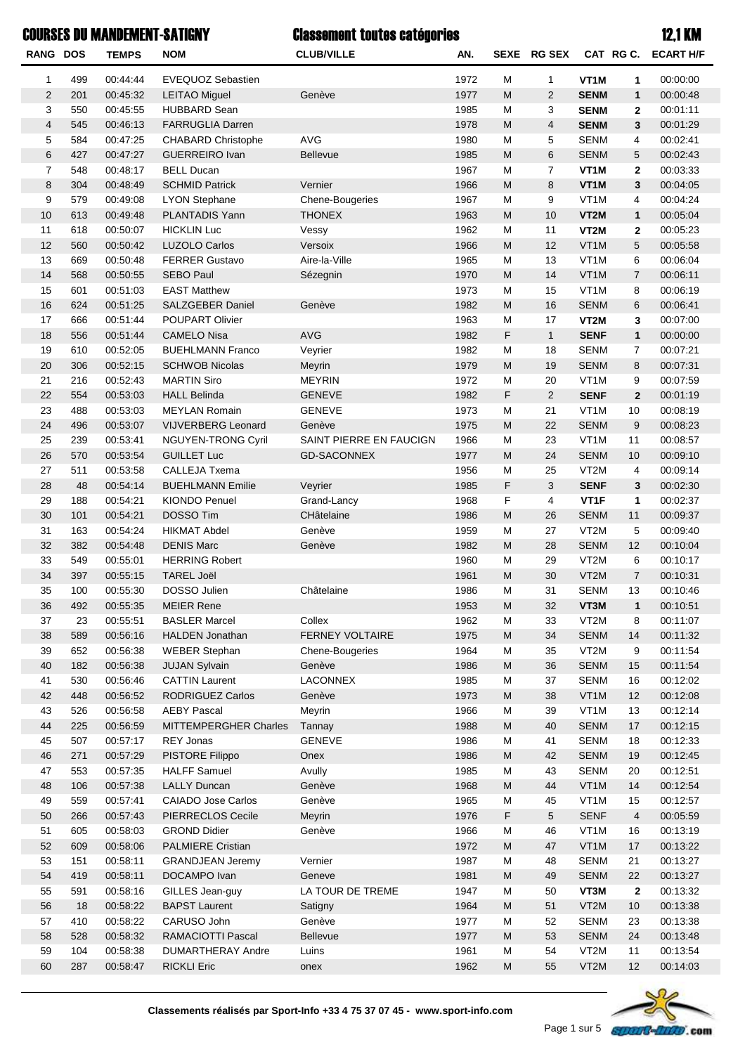## COURSES DU MANDEMENT-SATIGNY 12,1 KM

## Classement toutes catégories

| <b>RANG DOS</b> |            | <b>TEMPS</b>         | <b>NOM</b>                                  | <b>CLUB/VILLE</b>              | AN.          |                                                                                                            | SEXE RG SEX          |                     | CAT RG C.      | <b>ECART H/F</b>     |
|-----------------|------------|----------------------|---------------------------------------------|--------------------------------|--------------|------------------------------------------------------------------------------------------------------------|----------------------|---------------------|----------------|----------------------|
| $\mathbf{1}$    | 499        | 00:44:44             | <b>EVEQUOZ Sebastien</b>                    |                                | 1972         | M                                                                                                          | 1                    | VT <sub>1</sub> M   | 1              | 00:00:00             |
| $\overline{2}$  | 201        | 00:45:32             | <b>LEITAO Miguel</b>                        | Genève                         | 1977         | M                                                                                                          | $\overline{2}$       | <b>SENM</b>         | $\mathbf{1}$   | 00:00:48             |
| 3               | 550        | 00:45:55             | <b>HUBBARD Sean</b>                         |                                | 1985         | M                                                                                                          | 3                    | <b>SENM</b>         | $\mathbf{2}$   | 00:01:11             |
| $\overline{4}$  | 545        | 00:46:13             | <b>FARRUGLIA Darren</b>                     |                                | 1978         | M                                                                                                          | $\overline{4}$       | <b>SENM</b>         | 3              | 00:01:29             |
| 5               | 584        | 00:47:25             | <b>CHABARD Christophe</b>                   | <b>AVG</b>                     | 1980         | M                                                                                                          | 5                    | <b>SENM</b>         | 4              | 00:02:41             |
| $\,6$           | 427        | 00:47:27             | <b>GUERREIRO Ivan</b>                       | <b>Bellevue</b>                | 1985         | M                                                                                                          | 6                    | <b>SENM</b>         | 5              | 00:02:43             |
| $\overline{7}$  | 548        | 00:48:17             | <b>BELL Ducan</b>                           |                                | 1967         | M                                                                                                          | 7                    | VT <sub>1</sub> M   | $\mathbf{2}$   | 00:03:33             |
| 8               | 304        | 00:48:49             | <b>SCHMID Patrick</b>                       | Vernier                        | 1966         | M                                                                                                          | 8                    | VT <sub>1</sub> M   | 3              | 00:04:05             |
| 9               | 579        | 00:49:08             | <b>LYON Stephane</b>                        | Chene-Bougeries                | 1967         | М                                                                                                          | 9                    | VT <sub>1</sub> M   | 4              | 00:04:24             |
| $10$            | 613        | 00:49:48             | PLANTADIS Yann                              | <b>THONEX</b>                  | 1963         | M                                                                                                          | 10                   | VT2M                | $\mathbf{1}$   | 00:05:04             |
| 11              | 618        | 00:50:07             | <b>HICKLIN Luc</b>                          | Vessy                          | 1962         | М                                                                                                          | 11                   | VT2M                | $\mathbf{2}$   | 00:05:23             |
| 12              | 560        | 00:50:42             | <b>LUZOLO Carlos</b>                        | Versoix                        | 1966         | M                                                                                                          | 12                   | VT1M                | 5              | 00:05:58             |
| 13              | 669        | 00:50:48             | <b>FERRER Gustavo</b>                       | Aire-la-Ville                  | 1965         | М                                                                                                          | 13                   | VT <sub>1</sub> M   | 6              | 00:06:04             |
| 14              | 568        | 00:50:55             | <b>SEBO Paul</b>                            | Sézegnin                       | 1970         | M                                                                                                          | 14                   | VT <sub>1</sub> M   | $\overline{7}$ | 00:06:11             |
| 15              | 601        | 00:51:03             | <b>EAST Matthew</b>                         |                                | 1973         | М                                                                                                          | 15                   | VT <sub>1</sub> M   | 8              | 00:06:19             |
| 16              | 624        | 00:51:25             | SALZGEBER Daniel                            | Genève                         | 1982         | M                                                                                                          | 16                   | <b>SENM</b>         | 6              | 00:06:41             |
| 17              | 666        | 00:51:44             | POUPART Olivier                             |                                | 1963         | М                                                                                                          | 17                   | VT2M                | 3              | 00:07:00             |
| 18              | 556        | 00:51:44             | <b>CAMELO Nisa</b>                          | <b>AVG</b>                     | 1982         | F                                                                                                          | $\mathbf{1}$         | <b>SENF</b>         | $\mathbf{1}$   | 00:00:00             |
| 19              | 610        | 00:52:05             | <b>BUEHLMANN Franco</b>                     | Veyrier                        | 1982         | М                                                                                                          | 18                   | <b>SENM</b>         | $\overline{7}$ | 00:07:21             |
| 20              | 306        | 00:52:15             | <b>SCHWOB Nicolas</b>                       | Meyrin                         | 1979         | M                                                                                                          | 19                   | <b>SENM</b>         | 8              | 00:07:31             |
| 21<br>22        | 216<br>554 | 00:52:43             | <b>MARTIN Siro</b>                          | <b>MEYRIN</b><br><b>GENEVE</b> | 1972         | M<br>F                                                                                                     | 20<br>$\overline{2}$ | VT <sub>1</sub> M   | 9              | 00:07:59             |
| 23              |            | 00:53:03             | <b>HALL Belinda</b><br><b>MEYLAN Romain</b> | <b>GENEVE</b>                  | 1982         |                                                                                                            |                      | <b>SENF</b><br>VT1M | $\overline{2}$ | 00:01:19             |
| 24              | 488<br>496 | 00:53:03<br>00:53:07 | VIJVERBERG Leonard                          | Genève                         | 1973<br>1975 | М<br>M                                                                                                     | 21<br>22             | <b>SENM</b>         | 10<br>9        | 00:08:19<br>00:08:23 |
| 25              | 239        | 00:53:41             | NGUYEN-TRONG Cyril                          | SAINT PIERRE EN FAUCIGN        | 1966         | M                                                                                                          | 23                   | VT <sub>1</sub> M   | 11             | 00:08:57             |
| 26              | 570        | 00:53:54             | <b>GUILLET Luc</b>                          | <b>GD-SACONNEX</b>             | 1977         | M                                                                                                          | 24                   | <b>SENM</b>         | 10             | 00:09:10             |
| 27              | 511        | 00:53:58             | <b>CALLEJA Txema</b>                        |                                | 1956         | М                                                                                                          | 25                   | VT <sub>2</sub> M   | 4              | 00:09:14             |
| 28              | 48         | 00:54:14             | <b>BUEHLMANN Emilie</b>                     | Veyrier                        | 1985         | F                                                                                                          | 3                    | <b>SENF</b>         | 3              | 00:02:30             |
| 29              | 188        | 00:54:21             | <b>KIONDO Penuel</b>                        | Grand-Lancy                    | 1968         | F                                                                                                          | 4                    | VT <sub>1</sub> F   | 1              | 00:02:37             |
| 30              | 101        | 00:54:21             | <b>DOSSO Tim</b>                            | CHâtelaine                     | 1986         | M                                                                                                          | 26                   | <b>SENM</b>         | 11             | 00:09:37             |
| 31              | 163        | 00:54:24             | <b>HIKMAT Abdel</b>                         | Genève                         | 1959         | M                                                                                                          | 27                   | VT2M                | 5              | 00:09:40             |
| 32              | 382        | 00:54:48             | <b>DENIS Marc</b>                           | Genève                         | 1982         | M                                                                                                          | 28                   | <b>SENM</b>         | 12             | 00:10:04             |
| 33              | 549        | 00:55:01             | <b>HERRING Robert</b>                       |                                | 1960         | М                                                                                                          | 29                   | VT2M                | 6              | 00:10:17             |
| 34              | 397        | 00:55:15             | <b>TAREL Joël</b>                           |                                | 1961         | M                                                                                                          | 30                   | VT <sub>2</sub> M   | $\overline{7}$ | 00:10:31             |
| 35              | 100        | 00:55:30             | DOSSO Julien                                | Châtelaine                     | 1986         | М                                                                                                          | 31                   | <b>SENM</b>         | 13             | 00:10:46             |
| 36              | 492        | 00:55:35             | <b>MEIER Rene</b>                           |                                | 1953         | $\mathsf{M}% _{T}=\mathsf{M}_{T}\!\left( a,b\right) ,\ \mathsf{M}_{T}=\mathsf{M}_{T}\!\left( a,b\right) ,$ | 32                   | VT3M                | $\mathbf{1}$   | 00:10:51             |
| 37              | 23         | 00:55:51             | <b>BASLER Marcel</b>                        | Collex                         | 1962         | М                                                                                                          | 33                   | VT2M                | 8              | 00:11:07             |
| 38              | 589        | 00:56:16             | HALDEN Jonathan                             | FERNEY VOLTAIRE                | 1975         | ${\sf M}$                                                                                                  | 34                   | <b>SENM</b>         | 14             | 00:11:32             |
| 39              | 652        | 00:56:38             | <b>WEBER Stephan</b>                        | Chene-Bougeries                | 1964         | M                                                                                                          | 35                   | VT2M                | 9              | 00:11:54             |
| 40              | 182        | 00:56:38             | <b>JUJAN Sylvain</b>                        | Genève                         | 1986         | M                                                                                                          | 36                   | <b>SENM</b>         | 15             | 00:11:54             |
| 41              | 530        | 00:56:46             | <b>CATTIN Laurent</b>                       | LACONNEX                       | 1985         | M                                                                                                          | 37                   | <b>SENM</b>         | 16             | 00:12:02             |
| 42              | 448        | 00:56:52             | <b>RODRIGUEZ Carlos</b>                     | Genève                         | 1973         | ${\sf M}$                                                                                                  | 38                   | VT1M                | 12             | 00:12:08             |
| 43              | 526        | 00:56:58             | <b>AEBY Pascal</b>                          | Meyrin                         | 1966         | M                                                                                                          | 39                   | VT1M                | 13             | 00:12:14             |
| 44              | 225        | 00:56:59             | MITTEMPERGHER Charles                       | Tannay                         | 1988         | ${\sf M}$                                                                                                  | 40                   | <b>SENM</b>         | 17             | 00:12:15             |
| 45              | 507        | 00:57:17             | REY Jonas                                   | <b>GENEVE</b>                  | 1986         | M                                                                                                          | 41                   | <b>SENM</b>         | 18             | 00:12:33             |
| 46              | 271        | 00:57:29             | PISTORE Filippo                             | Onex                           | 1986         | ${\sf M}$                                                                                                  | 42                   | <b>SENM</b>         | 19             | 00:12:45             |
| 47              | 553        | 00:57:35             | <b>HALFF Samuel</b>                         | Avully                         | 1985         | M                                                                                                          | 43                   | <b>SENM</b>         | 20             | 00:12:51             |
| 48              | 106        | 00:57:38             | <b>LALLY Duncan</b>                         | Genève                         | 1968         | ${\sf M}$                                                                                                  | 44                   | VT1M                | 14             | 00:12:54             |
| 49              | 559        | 00:57:41             | <b>CAIADO Jose Carlos</b>                   | Genève                         | 1965         | M                                                                                                          | 45                   | VT1M                | 15             | 00:12:57             |
| 50              | 266        | 00:57:43             | PIERRECLOS Cecile                           | Meyrin                         | 1976         | F                                                                                                          | 5                    | <b>SENF</b>         | $\overline{4}$ | 00:05:59             |
| 51              | 605        | 00:58:03             | <b>GROND Didier</b>                         | Genève                         | 1966         | M                                                                                                          | 46                   | VT <sub>1</sub> M   | 16             | 00:13:19             |
| 52              | 609        | 00:58:06             | <b>PALMIERE Cristian</b>                    |                                | 1972         | ${\sf M}$                                                                                                  | 47                   | VT1M                | 17             | 00:13:22             |
| 53              | 151        | 00:58:11             | <b>GRANDJEAN Jeremy</b>                     | Vernier                        | 1987         | M                                                                                                          | 48                   | <b>SENM</b>         | 21             | 00:13:27             |
| 54              | 419        | 00:58:11             | DOCAMPO Ivan                                | Geneve                         | 1981         | ${\sf M}$                                                                                                  | 49                   | <b>SENM</b>         | 22             | 00:13:27             |
| 55              | 591        | 00:58:16             | GILLES Jean-guy                             | LA TOUR DE TREME               | 1947         | M                                                                                                          | 50                   | VT3M                | $\mathbf{2}$   | 00:13:32             |
| 56              | 18         | 00:58:22             | <b>BAPST Laurent</b>                        | Satigny                        | 1964         | ${\sf M}$                                                                                                  | 51                   | VT2M                | 10             | 00:13:38             |
| 57              | 410        | 00:58:22             | CARUSO John                                 | Genève                         | 1977         | M                                                                                                          | 52                   | <b>SENM</b>         | 23             | 00:13:38             |
| 58              | 528        | 00:58:32             | RAMACIOTTI Pascal                           | <b>Bellevue</b>                | 1977         | ${\sf M}$                                                                                                  | 53                   | <b>SENM</b>         | 24             | 00:13:48             |
| 59              | 104        | 00:58:38             | <b>DUMARTHERAY Andre</b>                    | Luins                          | 1961         | M                                                                                                          | 54                   | VT2M                | 11             | 00:13:54             |
| 60              | 287        | 00:58:47             | <b>RICKLI Eric</b>                          | onex                           | 1962         | $\mathsf{M}% _{T}=\mathsf{M}_{T}\!\left( a,b\right) ,\ \mathsf{M}_{T}=\mathsf{M}_{T}\!\left( a,b\right) ,$ | 55                   | VT2M                | 12             | 00:14:03             |

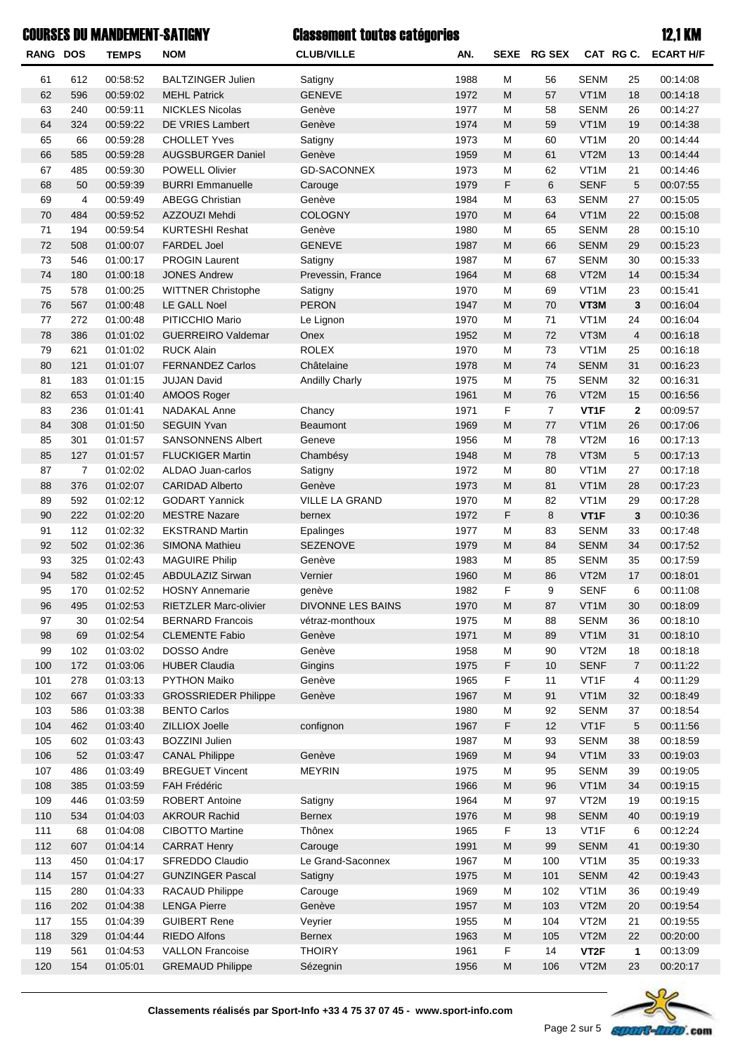## COURSES DU MANDEMENT-SATIGNY **12.1 COURSES COURSES AND MANUEMENT-SATIGNY 12.1 KM**

### Classement toutes catégories

| <b>RANG DOS</b> |                | <b>TEMPS</b>         | <b>NOM</b>                            | <b>CLUB/VILLE</b>     | AN.          |                | SEXE RG SEX    |                     | CAT RGC.                | <b>ECART H/F</b>     |
|-----------------|----------------|----------------------|---------------------------------------|-----------------------|--------------|----------------|----------------|---------------------|-------------------------|----------------------|
| 61              | 612            | 00:58:52             | <b>BALTZINGER Julien</b>              | Satigny               | 1988         | M              | 56             | <b>SENM</b>         | 25                      | 00:14:08             |
| 62              | 596            | 00:59:02             | <b>MEHL Patrick</b>                   | <b>GENEVE</b>         | 1972         | M              | 57             | VT1M                | 18                      | 00:14:18             |
| 63              | 240            | 00:59:11             | <b>NICKLES Nicolas</b>                | Genève                | 1977         | M              | 58             | <b>SENM</b>         | 26                      | 00:14:27             |
| 64              | 324            | 00:59:22             | DE VRIES Lambert                      | Genève                | 1974         | ${\sf M}$      | 59             | VT1M                | 19                      | 00:14:38             |
| 65              | 66             | 00:59:28             | <b>CHOLLET Yves</b>                   | Satigny               | 1973         | M              | 60             | VT <sub>1</sub> M   | 20                      | 00:14:44             |
| 66              | 585            | 00:59:28             | AUGSBURGER Daniel                     | Genève                | 1959         | ${\sf M}$      | 61             | VT2M                | 13                      | 00:14:44             |
| 67              | 485            | 00:59:30             | <b>POWELL Olivier</b>                 | <b>GD-SACONNEX</b>    | 1973         | M              | 62             | VT1M                | 21                      | 00:14:46             |
| 68              | 50             | 00:59:39             | <b>BURRI Emmanuelle</b>               | Carouge               | 1979         | F              | 6              | <b>SENF</b>         | 5                       | 00:07:55             |
| 69              | 4              | 00:59:49             | <b>ABEGG Christian</b>                | Genève                | 1984         | M              | 63             | <b>SENM</b>         | 27                      | 00:15:05             |
| 70              | 484            | 00:59:52             | AZZOUZI Mehdi                         | COLOGNY               | 1970         | ${\sf M}$      | 64             | VT1M                | 22                      | 00:15:08             |
| 71              | 194            | 00:59:54             | <b>KURTESHI Reshat</b>                | Genève                | 1980         | M              | 65             | <b>SENM</b>         | 28                      | 00:15:10             |
| 72              | 508            | 01:00:07             | <b>FARDEL Joel</b>                    | <b>GENEVE</b>         | 1987         | ${\sf M}$      | 66             | <b>SENM</b>         | 29                      | 00:15:23             |
| 73              | 546            | 01:00:17             | <b>PROGIN Laurent</b>                 | Satigny               | 1987         | M              | 67             | <b>SENM</b>         | 30                      | 00:15:33             |
| 74              | 180            | 01:00:18             | <b>JONES Andrew</b>                   | Prevessin, France     | 1964         | ${\sf M}$      | 68             | VT <sub>2</sub> M   | 14                      | 00:15:34             |
| 75              | 578            | 01:00:25             | <b>WITTNER Christophe</b>             | Satigny               | 1970         | M              | 69             | VT <sub>1</sub> M   | 23                      | 00:15:41             |
| 76              | 567            | 01:00:48             | LE GALL Noel                          | <b>PERON</b>          | 1947         | ${\sf M}$      | 70             | VT3M                | 3                       | 00:16:04             |
| 77              | 272            | 01:00:48             | PITICCHIO Mario                       | Le Lignon             | 1970         | M              | 71             | VT <sub>1</sub> M   | 24                      | 00:16:04             |
| 78              | 386            | 01:01:02             | <b>GUERREIRO Valdemar</b>             | Onex                  | 1952         | ${\sf M}$      | 72             | VT3M                | $\overline{\mathbf{4}}$ | 00:16:18             |
| 79              | 621            | 01:01:02             | <b>RUCK Alain</b>                     | <b>ROLEX</b>          | 1970         | M              | 73             | VT <sub>1</sub> M   | 25                      | 00:16:18             |
| 80              | 121            | 01:01:07             | <b>FERNANDEZ Carlos</b>               | Châtelaine            | 1978         | ${\sf M}$      | 74             | <b>SENM</b>         | 31                      | 00:16:23             |
| 81              | 183            | 01:01:15             | <b>JUJAN David</b>                    | <b>Andilly Charly</b> | 1975         | M              | 75             | <b>SENM</b>         | 32                      | 00:16:31             |
| 82              | 653            | 01:01:40             | AMOOS Roger                           |                       | 1961         | ${\sf M}$      | 76             | VT <sub>2</sub> M   | 15                      | 00:16:56             |
| 83              | 236            | 01:01:41             | <b>NADAKAL Anne</b>                   | Chancy                | 1971         | F              | $\overline{7}$ | VT1F                | $\mathbf{2}$            | 00:09:57             |
| 84              | 308            | 01:01:50             | <b>SEGUIN Yvan</b>                    | <b>Beaumont</b>       | 1969         | ${\sf M}$      | 77             | VT <sub>1</sub> M   | 26                      | 00:17:06             |
| 85              | 301            | 01:01:57             | SANSONNENS Albert                     | Geneve                | 1956         | M              | 78             | VT2M                | 16                      | 00:17:13             |
| 85              | 127            | 01:01:57             | <b>FLUCKIGER Martin</b>               | Chambésy              | 1948         | ${\sf M}$      | 78             | VT3M                | 5                       | 00:17:13             |
| 87              | $\overline{7}$ | 01:02:02             | ALDAO Juan-carlos                     | Satigny               | 1972         | M              | 80             | VT <sub>1</sub> M   | 27                      | 00:17:18             |
| 88              | 376            | 01:02:07             | <b>CARIDAD Alberto</b>                | Genève                | 1973         | ${\sf M}$      | 81             | VT1M                | 28                      | 00:17:23             |
| 89              | 592            | 01:02:12             | <b>GODART Yannick</b>                 | VILLE LA GRAND        | 1970         | M              | 82             | VT <sub>1</sub> M   | 29                      | 00:17:28             |
| 90              | 222            | 01:02:20             | <b>MESTRE Nazare</b>                  | bernex                | 1972         | F              | 8              | VT1F                | 3                       | 00:10:36             |
| 91              | 112            | 01:02:32             | <b>EKSTRAND Martin</b>                | Epalinges             | 1977         | M              | 83             | <b>SENM</b>         | 33                      | 00:17:48             |
| 92              | 502            | 01:02:36             | <b>SIMONA Mathieu</b>                 | SEZENOVE              | 1979         | ${\sf M}$      | 84             | <b>SENM</b>         | 34                      | 00:17:52             |
| 93              | 325            | 01:02:43             | <b>MAGUIRE Philip</b>                 | Genève                | 1983         | M              | 85             | <b>SENM</b>         | 35                      | 00:17:59             |
| 94              | 582            | 01:02:45             | ABDULAZIZ Sirwan                      | Vernier               | 1960         | ${\sf M}$      | 86             | VT2M                | 17                      | 00:18:01             |
| 95              | 170            | 01:02:52             | <b>HOSNY Annemarie</b>                | genève                | 1982         | F              | 9              | <b>SENF</b>         | 6                       | 00:11:08             |
| 96              | 495            | 01:02:53             | RIETZLER Marc-olivier                 | DIVONNE LES BAINS     | 1970         | M              | 87             | VT1M                | 30                      | 00:18:09             |
| 97              | 30             | 01:02:54             | <b>BERNARD Francois</b>               | vétraz-monthoux       | 1975         | M              | 88             | <b>SENM</b>         | 36                      | 00:18:10             |
| 98              | 69             | 01:02:54             | <b>CLEMENTE Fabio</b>                 | Genève                | 1971         | ${\sf M}$      | 89             | VT1M                | 31                      | 00:18:10             |
| 99              | 102            | 01:03:02             | DOSSO Andre                           | Genève                | 1958         | M              | 90             | VT2M                | 18                      | 00:18:18             |
| 100             | 172            | 01:03:06             | <b>HUBER Claudia</b>                  | Gingins               | 1975         | F              | 10             | <b>SENF</b>         | $\overline{7}$          | 00:11:22             |
| 101             | 278            | 01:03:13             | PYTHON Maiko                          | Genève                | 1965         | F              | 11             | VT1F                | 4                       | 00:11:29             |
| 102             | 667            | 01:03:33             | <b>GROSSRIEDER Philippe</b>           | Genève                | 1967         | ${\sf M}$      | 91             | VT1M                | 32                      | 00:18:49             |
| 103             | 586            | 01:03:38             | <b>BENTO Carlos</b>                   |                       | 1980         | M              | 92             | <b>SENM</b><br>VT1F | 37                      | 00:18:54<br>00:11:56 |
| 104             | 462            | 01:03:40             | ZILLIOX Joelle                        | confignon             | 1967         | F              | 12             |                     | $\overline{5}$          |                      |
| 105             | 602            | 01:03:43             | <b>BOZZINI Julien</b>                 |                       | 1987         | M              | 93             | <b>SENM</b>         | 38                      | 00:18:59<br>00:19:03 |
| 106             | 52             | 01:03:47             | <b>CANAL Philippe</b>                 | Genève                | 1969         | ${\sf M}$      | 94             | VT1M                | 33                      |                      |
| 107             | 486            | 01:03:49             | <b>BREGUET Vincent</b>                | <b>MEYRIN</b>         | 1975         | M              | 95             | <b>SENM</b>         | 39                      | 00:19:05             |
| 108<br>109      | 385<br>446     | 01:03:59<br>01:03:59 | FAH Frédéric<br><b>ROBERT Antoine</b> | Satigny               | 1966<br>1964 | ${\sf M}$<br>M | 96<br>97       | VT1M<br>VT2M        | 34<br>19                | 00:19:15             |
| 110             | 534            | 01:04:03             | <b>AKROUR Rachid</b>                  | Bernex                | 1976         | ${\sf M}$      | 98             | <b>SENM</b>         | 40                      | 00:19:15<br>00:19:19 |
| 111             | 68             | 01:04:08             | <b>CIBOTTO Martine</b>                | Thônex                | 1965         | F              | 13             | VT1F                |                         | 00:12:24             |
| 112             | 607            | 01:04:14             | <b>CARRAT Henry</b>                   | Carouge               | 1991         | ${\sf M}$      | 99             | <b>SENM</b>         | 6<br>41                 | 00:19:30             |
| 113             | 450            | 01:04:17             | SFREDDO Claudio                       | Le Grand-Saconnex     | 1967         | M              | 100            | VT1M                | 35                      | 00:19:33             |
| 114             | 157            | 01:04:27             | <b>GUNZINGER Pascal</b>               | Satigny               | 1975         | ${\sf M}$      | 101            | <b>SENM</b>         | 42                      | 00:19:43             |
| 115             | 280            | 01:04:33             | RACAUD Philippe                       | Carouge               | 1969         | M              | 102            | VT1M                | 36                      | 00:19:49             |
| 116             | 202            | 01:04:38             | <b>LENGA Pierre</b>                   | Genève                | 1957         | ${\sf M}$      | 103            | VT2M                | 20                      | 00:19:54             |
| 117             | 155            | 01:04:39             | <b>GUIBERT Rene</b>                   | Veyrier               | 1955         | M              | 104            | VT2M                | 21                      | 00:19:55             |
| 118             | 329            | 01:04:44             | <b>RIEDO Alfons</b>                   | <b>Bernex</b>         | 1963         | M              | 105            | VT2M                | 22                      | 00:20:00             |
| 119             | 561            | 01:04:53             | <b>VALLON Francoise</b>               | <b>THOIRY</b>         | 1961         | F              | 14             | VT <sub>2</sub> F   | 1                       | 00:13:09             |
| 120             | 154            | 01:05:01             | <b>GREMAUD Philippe</b>               | Sézegnin              | 1956         | M              | 106            | VT2M                | 23                      | 00:20:17             |
|                 |                |                      |                                       |                       |              |                |                |                     |                         |                      |

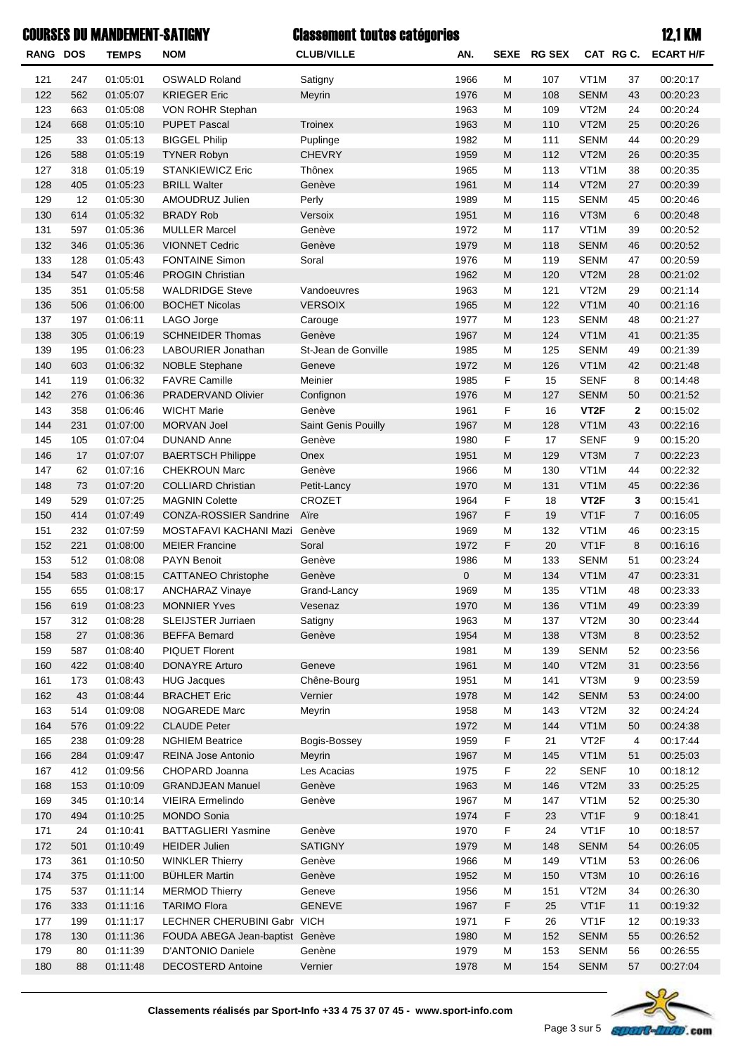|                 |     | <b>COURSES DU MANDEMENT-SATIGNY</b> |                                 | <b>Classement toutes catégories</b> |      |                                                                                                            |               |                   |                | <b>12,1 KM</b>   |
|-----------------|-----|-------------------------------------|---------------------------------|-------------------------------------|------|------------------------------------------------------------------------------------------------------------|---------------|-------------------|----------------|------------------|
| <b>RANG DOS</b> |     | <b>TEMPS</b>                        | <b>NOM</b>                      | <b>CLUB/VILLE</b>                   | AN.  | <b>SEXE</b>                                                                                                | <b>RG SEX</b> | CAT RGC.          |                | <b>ECART H/F</b> |
| 121             | 247 | 01:05:01                            | <b>OSWALD Roland</b>            | Satigny                             | 1966 | M                                                                                                          | 107           | VT <sub>1</sub> M | 37             | 00:20:17         |
| 122             | 562 | 01:05:07                            | <b>KRIEGER Eric</b>             | Meyrin                              | 1976 | M                                                                                                          | 108           | <b>SENM</b>       | 43             | 00:20:23         |
| 123             | 663 | 01:05:08                            | VON ROHR Stephan                |                                     | 1963 | M                                                                                                          | 109           | VT <sub>2</sub> M | 24             | 00:20:24         |
| 124             | 668 | 01:05:10                            | <b>PUPET Pascal</b>             | <b>Troinex</b>                      | 1963 | M                                                                                                          | 110           | VT2M              | 25             | 00:20:26         |
| 125             | 33  | 01:05:13                            | <b>BIGGEL Philip</b>            | Puplinge                            | 1982 | M                                                                                                          | 111           | <b>SENM</b>       | 44             | 00:20:29         |
| 126             | 588 | 01:05:19                            | <b>TYNER Robyn</b>              | <b>CHEVRY</b>                       | 1959 | M                                                                                                          | 112           | VT2M              | 26             | 00:20:35         |
| 127             | 318 | 01:05:19                            | STANKIEWICZ Eric                | Thônex                              | 1965 | M                                                                                                          | 113           | VT1M              | 38             | 00:20:35         |
| 128             | 405 | 01:05:23                            | <b>BRILL Walter</b>             | Genève                              | 1961 | M                                                                                                          | 114           | VT2M              | 27             | 00:20:39         |
| 129             | 12  | 01:05:30                            | AMOUDRUZ Julien                 | Perly                               | 1989 | M                                                                                                          | 115           | <b>SENM</b>       | 45             | 00:20:46         |
| 130             | 614 | 01:05:32                            | <b>BRADY Rob</b>                | Versoix                             | 1951 | M                                                                                                          | 116           | VT3M              | 6              | 00:20:48         |
| 131             | 597 | 01:05:36                            | <b>MULLER Marcel</b>            | Genève                              | 1972 | M                                                                                                          | 117           | VT1M              | 39             | 00:20:52         |
| 132             | 346 | 01:05:36                            | <b>VIONNET Cedric</b>           | Genève                              | 1979 | M                                                                                                          | 118           | <b>SENM</b>       | 46             | 00:20:52         |
| 133             | 128 | 01:05:43                            | <b>FONTAINE Simon</b>           | Soral                               | 1976 | M                                                                                                          | 119           | <b>SENM</b>       | 47             | 00:20:59         |
| 134             | 547 | 01:05:46                            | <b>PROGIN Christian</b>         |                                     | 1962 | M                                                                                                          | 120           | VT2M              | 28             | 00:21:02         |
| 135             | 351 | 01:05:58                            | <b>WALDRIDGE Steve</b>          | Vandoeuvres                         | 1963 | M                                                                                                          | 121           | VT <sub>2</sub> M | 29             | 00:21:14         |
| 136             | 506 | 01:06:00                            | <b>BOCHET Nicolas</b>           | <b>VERSOIX</b>                      | 1965 | M                                                                                                          | 122           | VT1M              | 40             | 00:21:16         |
| 137             | 197 | 01:06:11                            | LAGO Jorge                      | Carouge                             | 1977 | M                                                                                                          | 123           | <b>SENM</b>       | 48             | 00:21:27         |
| 138             | 305 | 01:06:19                            | <b>SCHNEIDER Thomas</b>         | Genève                              | 1967 | M                                                                                                          | 124           | VT1M              | 41             | 00:21:35         |
| 139             | 195 | 01:06:23                            | LABOURIER Jonathan              | St-Jean de Gonville                 | 1985 | M                                                                                                          | 125           | <b>SENM</b>       | 49             | 00:21:39         |
| 140             | 603 | 01:06:32                            | <b>NOBLE Stephane</b>           | Geneve                              | 1972 | M                                                                                                          | 126           | VT1M              | 42             | 00:21:48         |
| 141             | 119 | 01:06:32                            | <b>FAVRE Camille</b>            | Meinier                             | 1985 | F                                                                                                          | 15            | <b>SENF</b>       | 8              | 00:14:48         |
| 142             | 276 | 01:06:36                            | PRADERVAND Olivier              | Confignon                           | 1976 | $\mathsf{M}$                                                                                               | 127           | <b>SENM</b>       | 50             | 00:21:52         |
| 143             | 358 | 01:06:46                            | <b>WICHT Marie</b>              | Genève                              | 1961 | F                                                                                                          | 16            | VT <sub>2</sub> F | $\mathbf{2}$   | 00:15:02         |
| 144             | 231 | 01:07:00                            | MORVAN Joel                     | Saint Genis Pouilly                 | 1967 | $\mathsf{M}$                                                                                               | 128           | VT1M              | 43             | 00:22:16         |
| 145             | 105 | 01:07:04                            | <b>DUNAND Anne</b>              | Genève                              | 1980 | $\mathsf F$                                                                                                | 17            | <b>SENF</b>       | 9              | 00:15:20         |
| 146             | 17  | 01:07:07                            | <b>BAERTSCH Philippe</b>        | Onex                                | 1951 | M                                                                                                          | 129           | VT3M              | $\overline{7}$ | 00:22:23         |
| 147             | 62  | 01:07:16                            | <b>CHEKROUN Marc</b>            | Genève                              | 1966 | M                                                                                                          | 130           | VT <sub>1</sub> M | 44             | 00:22:32         |
| 148             | 73  | 01:07:20                            | <b>COLLIARD Christian</b>       | Petit-Lancy                         | 1970 | M                                                                                                          | 131           | VT1M              | 45             | 00:22:36         |
| 149             | 529 | 01:07:25                            | <b>MAGNIN Colette</b>           | CROZET                              | 1964 | F                                                                                                          | 18            | VT <sub>2</sub> F | 3              | 00:15:41         |
| 150             | 414 | 01:07:49                            | CONZA-ROSSIER Sandrine          | Aïre                                | 1967 | F                                                                                                          | 19            | VT1F              | $\overline{7}$ | 00:16:05         |
| 151             | 232 | 01:07:59                            | MOSTAFAVI KACHANI Mazi          | Genève                              | 1969 | M                                                                                                          | 132           | VT1M              | 46             | 00:23:15         |
| 152             | 221 | 01:08:00                            | <b>MEIER Francine</b>           | Soral                               | 1972 | F                                                                                                          | 20            | VT1F              | 8              | 00:16:16         |
| 153             | 512 | 01:08:08                            | <b>PAYN Benoit</b>              | Genève                              | 1986 | M                                                                                                          | 133           | <b>SENM</b>       | 51             | 00:23:24         |
| 154             | 583 | 01:08:15                            | <b>CATTANEO Christophe</b>      | Genève                              | 0    | M                                                                                                          | 134           | VT1M              | 47             | 00:23:31         |
|                 |     |                                     |                                 |                                     |      |                                                                                                            |               |                   |                |                  |
| 155             | 655 | 01:08:17                            | <b>ANCHARAZ Vinaye</b>          | Grand-Lancy                         | 1969 | M                                                                                                          | 135           | VT1M<br>VT1M      | 48             | 00:23:33         |
| 156             | 619 | 01:08:23                            | <b>MONNIER Yves</b>             | Vesenaz                             | 1970 | M                                                                                                          | 136           |                   | 49             | 00:23:39         |
| 157             | 312 | 01:08:28                            | <b>SLEIJSTER Jurriaen</b>       | Satigny                             | 1963 | M                                                                                                          | 137           | VT2M              | 30             | 00:23:44         |
| 158             | 27  | 01:08:36                            | <b>BEFFA Bernard</b>            | Genève                              | 1954 | M                                                                                                          | 138           | VT3M              | 8              | 00:23:52         |
| 159             | 587 | 01:08:40                            | PIQUET Florent                  |                                     | 1981 | M                                                                                                          | 139           | <b>SENM</b>       | 52             | 00:23:56         |
| 160             | 422 | 01:08:40                            | <b>DONAYRE Arturo</b>           | Geneve                              | 1961 | M                                                                                                          | 140           | VT2M              | 31             | 00:23:56         |
| 161             | 173 | 01:08:43                            | <b>HUG Jacques</b>              | Chêne-Bourg                         | 1951 | M                                                                                                          | 141           | VT3M              | 9              | 00:23:59         |
| 162             | 43  | 01:08:44                            | <b>BRACHET Eric</b>             | Vernier                             | 1978 | M                                                                                                          | 142           | <b>SENM</b>       | 53             | 00:24:00         |
| 163             | 514 | 01:09:08                            | NOGAREDE Marc                   | Meyrin                              | 1958 | M                                                                                                          | 143           | VT2M              | 32             | 00:24:24         |
| 164             | 576 | 01:09:22                            | <b>CLAUDE Peter</b>             |                                     | 1972 | M                                                                                                          | 144           | VT1M              | 50             | 00:24:38         |
| 165             | 238 | 01:09:28                            | <b>NGHIEM Beatrice</b>          | Bogis-Bossey                        | 1959 | $\mathsf F$                                                                                                | 21            | VT <sub>2</sub> F | 4              | 00:17:44         |
| 166             | 284 | 01:09:47                            | REINA Jose Antonio              | Meyrin                              | 1967 | ${\sf M}$                                                                                                  | 145           | VT1M              | 51             | 00:25:03         |
| 167             | 412 | 01:09:56                            | CHOPARD Joanna                  | Les Acacias                         | 1975 | F                                                                                                          | 22            | <b>SENF</b>       | 10             | 00:18:12         |
| 168             | 153 | 01:10:09                            | <b>GRANDJEAN Manuel</b>         | Genève                              | 1963 | M                                                                                                          | 146           | VT2M              | 33             | 00:25:25         |
| 169             | 345 | 01:10:14                            | VIEIRA Ermelindo                | Genève                              | 1967 | M                                                                                                          | 147           | VT1M              | 52             | 00:25:30         |
| 170             | 494 | 01:10:25                            | <b>MONDO Sonia</b>              |                                     | 1974 | F                                                                                                          | 23            | VT1F              | 9              | 00:18:41         |
| 171             | 24  | 01:10:41                            | <b>BATTAGLIERI Yasmine</b>      | Genève                              | 1970 | $\mathsf F$                                                                                                | 24            | VT1F              | 10             | 00:18:57         |
| 172             | 501 | 01:10:49                            | <b>HEIDER Julien</b>            | <b>SATIGNY</b>                      | 1979 | M                                                                                                          | 148           | <b>SENM</b>       | 54             | 00:26:05         |
| 173             | 361 | 01:10:50                            | <b>WINKLER Thierry</b>          | Genève                              | 1966 | M                                                                                                          | 149           | VT <sub>1</sub> M | 53             | 00:26:06         |
| 174             | 375 | 01:11:00                            | <b>BÜHLER Martin</b>            | Genève                              | 1952 | M                                                                                                          | 150           | VT3M              | 10             | 00:26:16         |
| 175             | 537 | 01:11:14                            | <b>MERMOD Thierry</b>           | Geneve                              | 1956 | M                                                                                                          | 151           | VT2M              | 34             | 00:26:30         |
| 176             | 333 | 01:11:16                            | <b>TARIMO Flora</b>             | <b>GENEVE</b>                       | 1967 | F                                                                                                          | 25            | VT1F              | 11             | 00:19:32         |
| 177             | 199 | 01:11:17                            | LECHNER CHERUBINI Gabr VICH     |                                     | 1971 | F                                                                                                          | 26            | VT1F              | 12             | 00:19:33         |
| 178             | 130 | 01:11:36                            | FOUDA ABEGA Jean-baptist Genève |                                     | 1980 | M                                                                                                          | 152           | <b>SENM</b>       | 55             | 00:26:52         |
| 179             | 80  | 01:11:39                            | D'ANTONIO Daniele               | Genène                              | 1979 | M                                                                                                          | 153           | <b>SENM</b>       | 56             | 00:26:55         |
| 180             | 88  | 01:11:48                            | <b>DECOSTERD Antoine</b>        | Vernier                             | 1978 | $\mathsf{M}% _{T}=\mathsf{M}_{T}\!\left( a,b\right) ,\ \mathsf{M}_{T}=\mathsf{M}_{T}\!\left( a,b\right) ,$ | 154           | <b>SENM</b>       | 57             | 00:27:04         |

## Classement toutes catégories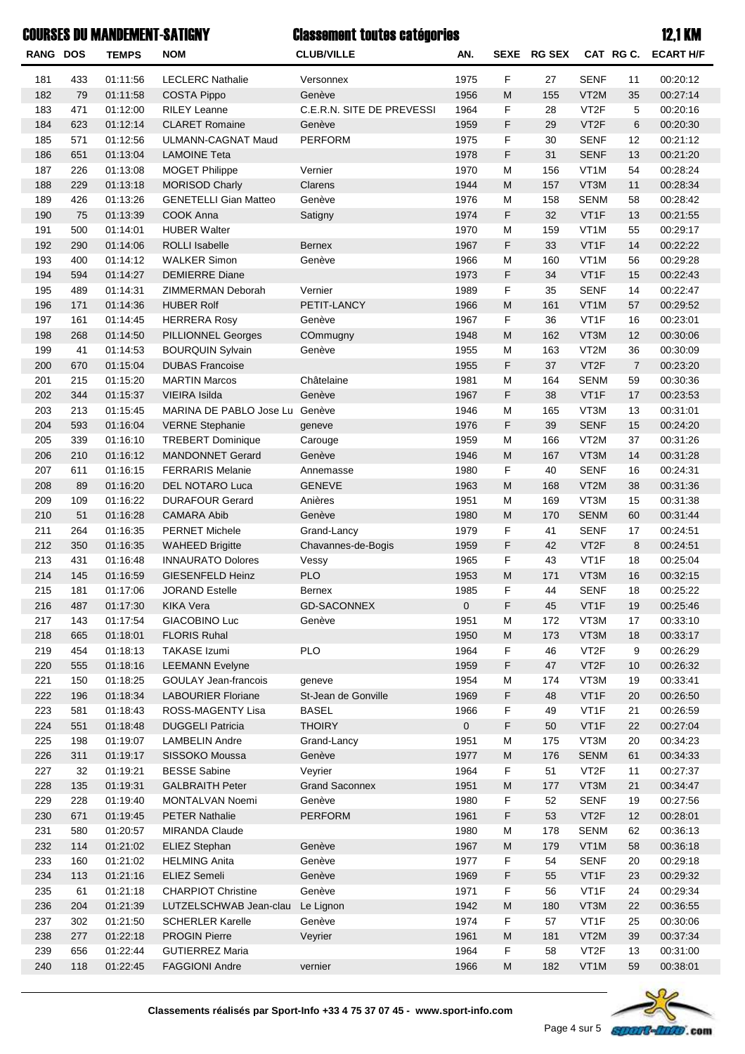# **RANG DOS TEMPS NOM CLUB/VILLE CAT RG C. SEXE AN. RG SEX ECART H/F** Classement toutes catégories COURSES DU MANDEMENT-SATIGNY 12,1 KM 181 433 01:11:56 LECLERC Nathalie Versonnex 1975 F 27 SENF 11 00:20:12 182 79 01:11:58 COSTA Pippo Genève 1956 M 155 VT2M 35 00:27:14 183 471 01:12:00 RILEY Leanne C.E.R.N. SITE DE PREVESSI 1964 F 28 VT2F 5 00:20:16

| 183        | 471        | 01:12:00             | <b>RILEY Leanne</b>                               | <b>C.E.R.N. SITE DE PREVESSI</b>    | 1964                | ۳         | 28        | VIZF              | 5              | 00:20:16             |
|------------|------------|----------------------|---------------------------------------------------|-------------------------------------|---------------------|-----------|-----------|-------------------|----------------|----------------------|
| 184        | 623        | 01:12:14             | <b>CLARET Romaine</b>                             | Genève                              | 1959                | F         | 29        | VT <sub>2</sub> F | 6              | 00:20:30             |
| 185        | 571        | 01:12:56             | ULMANN-CAGNAT Maud                                | <b>PERFORM</b>                      | 1975                | F         | 30        | <b>SENF</b>       | 12             | 00:21:12             |
| 186        | 651        | 01:13:04             | <b>LAMOINE Teta</b>                               |                                     | 1978                | F         | 31        | <b>SENF</b>       | 13             | 00:21:20             |
| 187        | 226        | 01:13:08             | <b>MOGET Philippe</b>                             | Vernier                             | 1970                | M         | 156       | VT <sub>1</sub> M | 54             | 00:28:24             |
| 188        | 229        | 01:13:18             | <b>MORISOD Charly</b>                             | Clarens                             | 1944                | M         | 157       | VT3M              | 11             | 00:28:34             |
| 189        | 426        | 01:13:26             | <b>GENETELLI Gian Matteo</b>                      | Genève                              | 1976                | M         | 158       | <b>SENM</b>       | 58             | 00:28:42             |
| 190        | 75         | 01:13:39             | COOK Anna                                         | Satigny                             | 1974                | F         | 32        | VT1F              | 13             | 00:21:55             |
| 191        | 500        | 01:14:01             | <b>HUBER Walter</b>                               |                                     | 1970                | M         | 159       | VT <sub>1</sub> M | 55             | 00:29:17             |
| 192        | 290        | 01:14:06             | ROLLI Isabelle                                    | <b>Bernex</b>                       | 1967                | F         | 33        | VT1F              | 14             | 00:22:22             |
| 193        | 400        | 01:14:12             | <b>WALKER Simon</b>                               | Genève                              | 1966                | M         | 160       | VT <sub>1</sub> M | 56             | 00:29:28             |
| 194        | 594        | 01:14:27             | <b>DEMIERRE Diane</b>                             |                                     | 1973                | F         | 34        | VT1F              | 15             | 00:22:43             |
| 195        | 489        | 01:14:31             | ZIMMERMAN Deborah                                 | Vernier                             | 1989                | F         | 35        | <b>SENF</b>       | 14             | 00:22:47             |
| 196        | 171        | 01:14:36             | <b>HUBER Rolf</b>                                 | PETIT-LANCY                         | 1966                | M         | 161       | VT1M              | 57             | 00:29:52             |
| 197        | 161        | 01:14:45             | <b>HERRERA Rosy</b>                               | Genève                              | 1967                | F         | 36        | VT1F              | 16             | 00:23:01             |
| 198        | 268        | 01:14:50             | <b>PILLIONNEL Georges</b>                         | COmmugny                            | 1948                | M         | 162       | VT3M              | 12             | 00:30:06             |
| 199        | 41         | 01:14:53             | <b>BOURQUIN Sylvain</b>                           | Genève                              | 1955                | M         | 163       | VT2M              | 36             | 00:30:09             |
| 200        | 670        | 01:15:04             | <b>DUBAS Francoise</b>                            |                                     | 1955                | F         | 37        | VT <sub>2</sub> F | $\overline{7}$ | 00:23:20             |
| 201        | 215        | 01:15:20             | <b>MARTIN Marcos</b>                              | Châtelaine                          | 1981                | M         | 164       | <b>SENM</b>       | 59             | 00:30:36             |
| 202        | 344        | 01:15:37             | VIEIRA Isilda                                     | Genève                              | 1967                | F         | 38        | VT1F              | 17             | 00:23:53             |
| 203        | 213        | 01:15:45             | MARINA DE PABLO Jose Lu Genève                    |                                     | 1946                | M         | 165       | VT3M              | 13             | 00:31:01             |
| 204        | 593        | 01:16:04             | <b>VERNE Stephanie</b>                            | geneve                              | 1976                | F         | 39        | <b>SENF</b>       | 15             | 00:24:20             |
| 205        | 339        | 01:16:10             | <b>TREBERT Dominique</b>                          | Carouge                             | 1959                | M         | 166       | VT2M              | 37             | 00:31:26             |
| 206        | 210        | 01:16:12             | <b>MANDONNET Gerard</b>                           | Genève                              | 1946                | M         | 167       | VT3M              | 14             | 00:31:28             |
| 207        | 611        | 01:16:15             | <b>FERRARIS Melanie</b>                           | Annemasse                           | 1980                | F         | 40        | <b>SENF</b>       | 16             | 00:24:31             |
| 208        | 89         | 01:16:20             | DEL NOTARO Luca                                   | <b>GENEVE</b>                       | 1963                | M         | 168       | VT2M              | 38             | 00:31:36             |
| 209        | 109        | 01:16:22             | <b>DURAFOUR Gerard</b>                            | Anières                             | 1951                | M         | 169       | VT3M              | 15             | 00:31:38             |
| 210        | 51         | 01:16:28             | <b>CAMARA Abib</b>                                | Genève                              | 1980                | M         | 170       | <b>SENM</b>       | 60             | 00:31:44             |
| 211        | 264        | 01:16:35             | <b>PERNET Michele</b>                             | Grand-Lancy                         | 1979                | F         | 41        | <b>SENF</b>       | 17             | 00:24:51             |
| 212        | 350        | 01:16:35             | <b>WAHEED Brigitte</b>                            | Chavannes-de-Bogis                  | 1959                | F         | 42        | VT <sub>2</sub> F | 8              | 00:24:51             |
| 213        | 431        | 01:16:48             | <b>INNAURATO Dolores</b>                          | Vessy                               | 1965                | F         | 43        | VT <sub>1</sub> F | 18             | 00:25:04             |
| 214        | 145        | 01:16:59             | GIESENFELD Heinz                                  | PLO                                 | 1953                | M         | 171       | VT3M              | 16             | 00:32:15             |
| 215        | 181        | 01:17:06             | <b>JORAND Estelle</b>                             | Bernex                              | 1985                | F         | 44        | <b>SENF</b>       | 18             | 00:25:22             |
| 216        | 487        | 01:17:30             | <b>KIKA Vera</b>                                  | <b>GD-SACONNEX</b>                  | $\mathbf 0$         | F         | 45        | VT1F              | 19             | 00:25:46             |
| 217        | 143        | 01:17:54             | GIACOBINO Luc                                     | Genève                              | 1951                | M         | 172       | VT3M              | 17             | 00:33:10             |
| 218        | 665        | 01:18:01             | <b>FLORIS Ruhal</b>                               |                                     | 1950                | M         | 173       | VT3M              | 18             | 00:33:17             |
| 219        | 454        | 01:18:13             | TAKASE Izumi                                      | <b>PLO</b>                          | 1964                | F         | 46        | VT <sub>2</sub> F | 9              | 00:26:29             |
| 220        | 555        | 01:18:16             | <b>LEEMANN Evelyne</b>                            |                                     | 1959                | F         | 47        | VT <sub>2</sub> F | 10             | 00:26:32             |
| 221        | 150        |                      |                                                   |                                     | 1954                | M         |           | VT3M              | 19             | 00:33:41             |
| 222        | 196        | 01:18:25<br>01:18:34 | GOULAY Jean-francois<br><b>LABOURIER Floriane</b> | geneve                              | 1969                |           | 174       | VT1F              |                |                      |
| 223        | 581        | 01:18:43             | ROSS-MAGENTY Lisa                                 | St-Jean de Gonville<br><b>BASEL</b> | 1966                | F<br>F    | 48<br>49  | VT1F              | 20             | 00:26:50<br>00:26:59 |
|            |            |                      |                                                   |                                     |                     |           |           |                   | 21             |                      |
| 224<br>225 | 551<br>198 | 01:18:48             | <b>DUGGELI Patricia</b><br><b>LAMBELIN Andre</b>  | <b>THOIRY</b>                       | $\mathbf 0$<br>1951 | F         | 50<br>175 | VT1F<br>VT3M      | 22             | 00:27:04<br>00:34:23 |
|            |            | 01:19:07             |                                                   | Grand-Lancy                         |                     | M         |           |                   | 20             |                      |
| 226        | 311        | 01:19:17             | SISSOKO Moussa                                    | Genève                              | 1977                | M         | 176       | <b>SENM</b>       | 61             | 00:34:33             |
| 227        | 32         | 01:19:21             | <b>BESSE Sabine</b><br><b>GALBRAITH Peter</b>     | Veyrier                             | 1964                | F         | 51        | VT <sub>2</sub> F | 11             | 00:27:37             |
| 228        | 135        | 01:19:31             |                                                   | <b>Grand Saconnex</b>               | 1951                | ${\sf M}$ | 177       | VT3M              | 21             | 00:34:47             |
| 229        | 228        | 01:19:40             | MONTALVAN Noemi                                   | Genève                              | 1980                | F         | 52        | <b>SENF</b>       | 19             | 00:27:56             |
| 230        | 671        | 01:19:45             | <b>PETER Nathalie</b>                             | <b>PERFORM</b>                      | 1961                | F         | 53        | VT <sub>2</sub> F | 12             | 00:28:01             |
| 231        | 580        | 01:20:57             | MIRANDA Claude                                    |                                     | 1980                | М         | 178       | <b>SENM</b>       | 62             | 00:36:13             |
| 232        | 114        | 01:21:02             | <b>ELIEZ Stephan</b>                              | Genève                              | 1967                | M         | 179       | VT1M              | 58             | 00:36:18             |
| 233        | 160        | 01:21:02             | <b>HELMING Anita</b>                              | Genève                              | 1977                | F         | 54        | <b>SENF</b>       | 20             | 00:29:18             |
| 234        | 113        | 01:21:16             | <b>ELIEZ Semeli</b>                               | Genève                              | 1969                | F         | 55        | VT1F              | 23             | 00:29:32             |
| 235        | 61         | 01:21:18             | <b>CHARPIOT Christine</b>                         | Genève                              | 1971                | F         | 56        | VT1F              | 24             | 00:29:34             |
| 236        | 204        | 01:21:39             | LUTZELSCHWAB Jean-clau                            | Le Lignon                           | 1942                | M         | 180       | VT3M              | 22             | 00:36:55             |
| 237        | 302        | 01:21:50             | <b>SCHERLER Karelle</b>                           | Genève                              | 1974                | F         | 57        | VT1F              | 25             | 00:30:06             |
| 238        | 277        | 01:22:18             | <b>PROGIN Pierre</b>                              | Veyrier                             | 1961                | M         | 181       | VT2M              | 39             | 00:37:34             |
| 239        | 656        | 01:22:44             | <b>GUTIERREZ Maria</b>                            |                                     | 1964                | F         | 58        | VT <sub>2</sub> F | 13             | 00:31:00             |
| 240        | 118        | 01:22:45             | <b>FAGGIONI Andre</b>                             | vernier                             | 1966                | M         | 182       | VT1M              | 59             | 00:38:01             |
|            |            |                      |                                                   |                                     |                     |           |           |                   |                |                      |